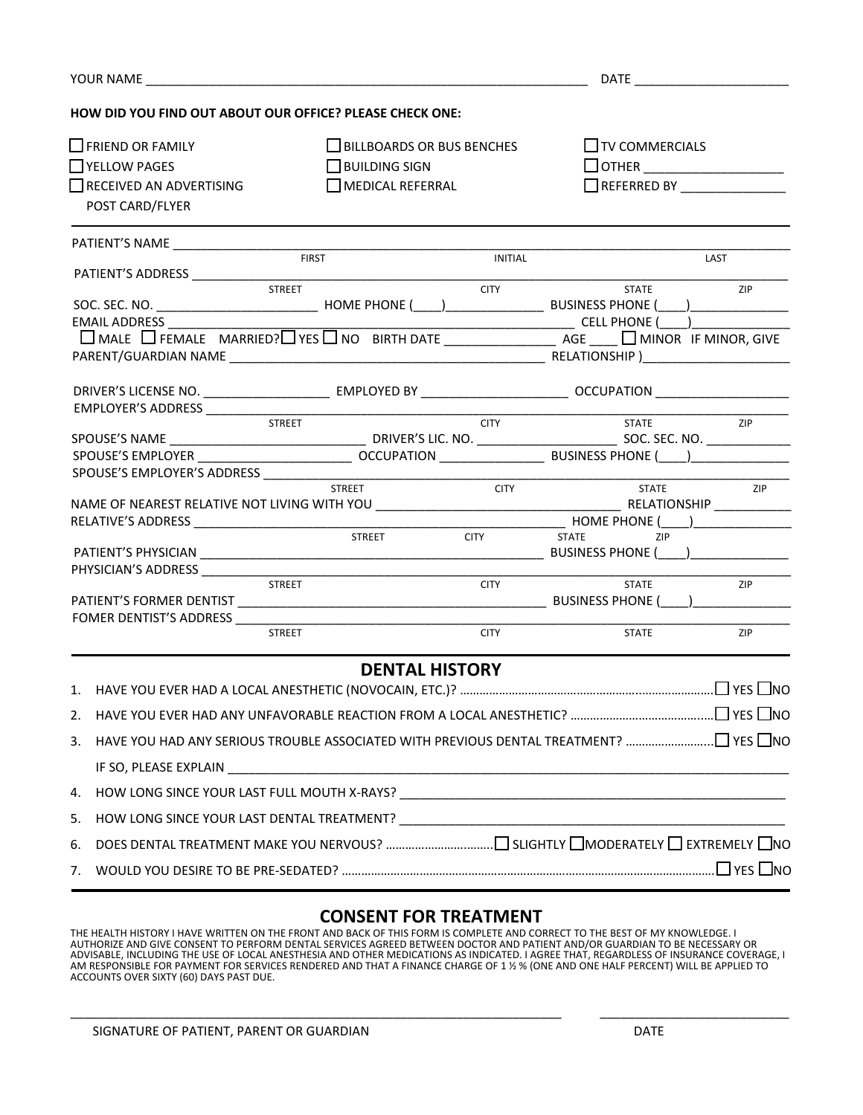| YOUR NAME                                                           |                                                                                                     |                                                                                     | <b>DATE</b>                |                                                                    |      |  |
|---------------------------------------------------------------------|-----------------------------------------------------------------------------------------------------|-------------------------------------------------------------------------------------|----------------------------|--------------------------------------------------------------------|------|--|
|                                                                     | HOW DID YOU FIND OUT ABOUT OUR OFFICE? PLEASE CHECK ONE:                                            |                                                                                     |                            |                                                                    |      |  |
|                                                                     | $\Box$ FRIEND OR FAMILY<br>$\Box$ YELLOW PAGES<br>$\Box$ RECEIVED AN ADVERTISING<br>POST CARD/FLYER | $\Box$ BILLBOARDS OR BUS BENCHES<br>$\Box$ BUILDING SIGN<br>$\Box$ MEDICAL REFERRAL |                            | $\Box$ TV COMMERCIALS<br>$\Box$ OTHER $\Box$<br>$\Box$ REFERRED BY |      |  |
|                                                                     |                                                                                                     | <b>FIRST</b>                                                                        |                            |                                                                    | LAST |  |
|                                                                     |                                                                                                     | <b>STREET</b>                                                                       | INITIAL<br><b>CITY</b>     | <b>STATE</b>                                                       | ZIP  |  |
|                                                                     | <b>EMAIL ADDRESS</b>                                                                                |                                                                                     |                            |                                                                    |      |  |
|                                                                     | EMPLOYER'S ADDRESS                                                                                  |                                                                                     |                            |                                                                    |      |  |
|                                                                     |                                                                                                     | <b>STREET</b>                                                                       | <b>CITY</b>                | <b>STATE</b>                                                       | ZIP  |  |
| SPOUSE'S EMPLOYER'S ADDRESS ____________<br><b>STREET</b><br>STREET |                                                                                                     |                                                                                     | <b>CITY</b><br><b>CITY</b> | <b>STATE</b><br>STATE<br>ZIP                                       | ZIP  |  |
|                                                                     |                                                                                                     | STREET                                                                              | <b>CITY</b>                | <b>STATE</b>                                                       | ZIP  |  |
|                                                                     |                                                                                                     | <b>STREET</b>                                                                       | <b>CITY</b>                | <b>STATE</b>                                                       | ZIP  |  |
| 2.                                                                  |                                                                                                     | <b>DENTAL HISTORY</b>                                                               |                            |                                                                    |      |  |
| 3.                                                                  |                                                                                                     |                                                                                     |                            |                                                                    |      |  |
| 4.                                                                  |                                                                                                     |                                                                                     |                            |                                                                    |      |  |
| 5.<br>6.                                                            |                                                                                                     |                                                                                     |                            |                                                                    |      |  |
| 7.                                                                  |                                                                                                     |                                                                                     |                            |                                                                    |      |  |

## **CONSENT FOR TREATMENT**

THE HEALTH HISTORY I HAVE WRITTEN ON THE FRONT AND BACK OF THIS FORM IS COMPLETE AND CORRECT TO THE BEST OF MY KNOWLEDGE. I AUTHORIZE AND GIVE CONSENT TO PERFORM DENTAL SERVICES AGREED BETWEEN DOCTOR AND PATIENT AND/OR GUARDIAN TO BE NECESSARY OR<br>ADVISABLE, INCLUDING THE USE OF LOCAL ANESTHESIA AND OTHER MEDICATIONS AS INDICATED. I AGREE THAT, AM RESPONSIBLE FOR PAYMENT FOR SERVICES RENDERED AND THAT A FINANCE CHARGE OF 1 ½ % (ONE AND ONE HALF PERCENT) WILL BE APPLIED TO ACCOUNTS OVER SIXTY (60) DAYS PAST DUE.

\_\_\_\_\_\_\_\_\_\_\_\_\_\_\_\_\_\_\_\_\_\_\_\_\_\_\_\_\_\_\_\_\_\_\_\_\_\_\_\_\_\_\_\_\_\_\_\_\_\_\_\_\_\_\_\_\_\_\_\_\_\_\_\_\_\_\_\_\_\_ \_\_\_\_\_\_\_\_\_\_\_\_\_\_\_\_\_\_\_\_\_\_\_\_\_\_\_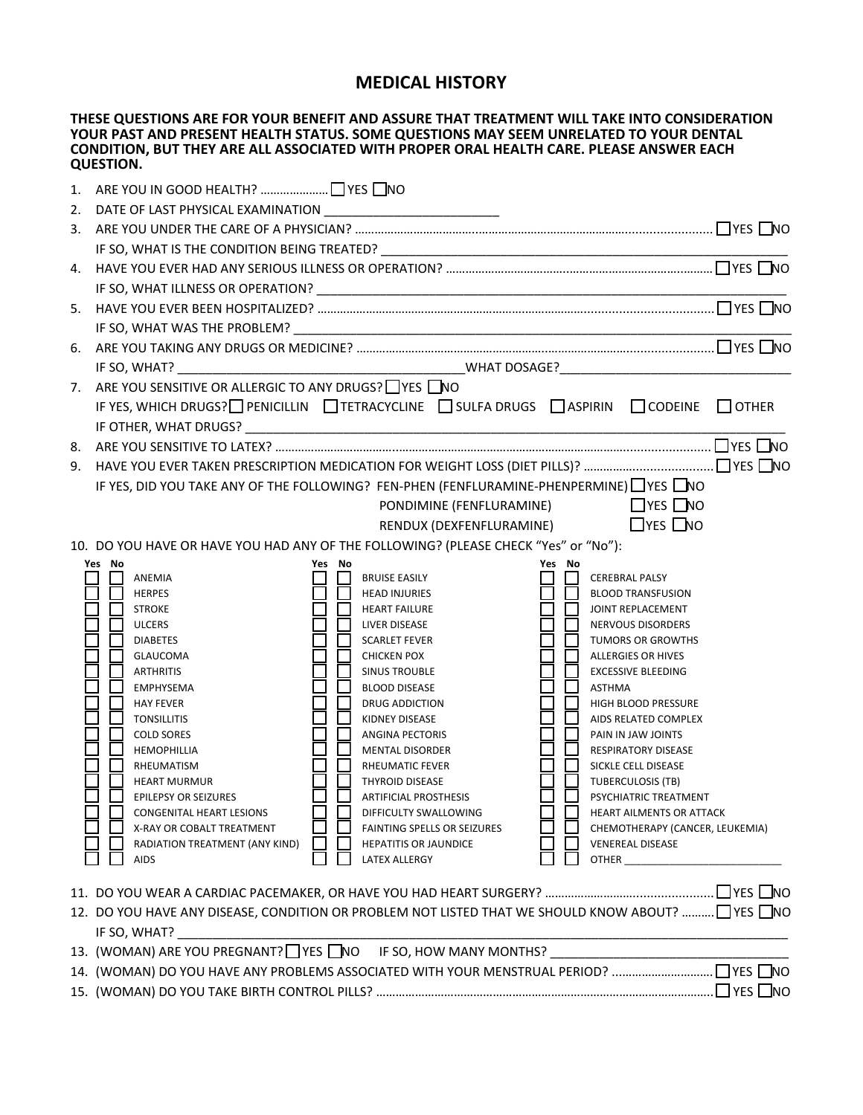## **MEDICAL HISTORY**

**THESE QUESTIONS ARE FOR YOUR BENEFIT AND ASSURE THAT TREATMENT WILL TAKE INTO CONSIDERATION YOUR PAST AND PRESENT HEALTH STATUS. SOME QUESTIONS MAY SEEM UNRELATED TO YOUR DENTAL CONDITION, BUT THEY ARE ALL ASSOCIATED WITH PROPER ORAL HEALTH CARE. PLEASE ANSWER EACH QUESTION.**

| 5. |                                                                                                                                                                                                                                                                                                                                                                                                                                                                                                                                                                                                                                                                                                                                                                                                                                                                                                                                                                                                                                                                                                                                                                                                                                                                                                                                                                                        |  |  |  |  |  |
|----|----------------------------------------------------------------------------------------------------------------------------------------------------------------------------------------------------------------------------------------------------------------------------------------------------------------------------------------------------------------------------------------------------------------------------------------------------------------------------------------------------------------------------------------------------------------------------------------------------------------------------------------------------------------------------------------------------------------------------------------------------------------------------------------------------------------------------------------------------------------------------------------------------------------------------------------------------------------------------------------------------------------------------------------------------------------------------------------------------------------------------------------------------------------------------------------------------------------------------------------------------------------------------------------------------------------------------------------------------------------------------------------|--|--|--|--|--|
|    |                                                                                                                                                                                                                                                                                                                                                                                                                                                                                                                                                                                                                                                                                                                                                                                                                                                                                                                                                                                                                                                                                                                                                                                                                                                                                                                                                                                        |  |  |  |  |  |
| 6. |                                                                                                                                                                                                                                                                                                                                                                                                                                                                                                                                                                                                                                                                                                                                                                                                                                                                                                                                                                                                                                                                                                                                                                                                                                                                                                                                                                                        |  |  |  |  |  |
|    | IF SO, WHAT?                                                                                                                                                                                                                                                                                                                                                                                                                                                                                                                                                                                                                                                                                                                                                                                                                                                                                                                                                                                                                                                                                                                                                                                                                                                                                                                                                                           |  |  |  |  |  |
|    | 7. ARE YOU SENSITIVE OR ALLERGIC TO ANY DRUGS? THES TO                                                                                                                                                                                                                                                                                                                                                                                                                                                                                                                                                                                                                                                                                                                                                                                                                                                                                                                                                                                                                                                                                                                                                                                                                                                                                                                                 |  |  |  |  |  |
|    | IF YES, WHICH DRUGS? PENICILLIN TETRACYCLINE SULFA DRUGS ASPIRIN CODEINE COTHER                                                                                                                                                                                                                                                                                                                                                                                                                                                                                                                                                                                                                                                                                                                                                                                                                                                                                                                                                                                                                                                                                                                                                                                                                                                                                                        |  |  |  |  |  |
|    |                                                                                                                                                                                                                                                                                                                                                                                                                                                                                                                                                                                                                                                                                                                                                                                                                                                                                                                                                                                                                                                                                                                                                                                                                                                                                                                                                                                        |  |  |  |  |  |
|    |                                                                                                                                                                                                                                                                                                                                                                                                                                                                                                                                                                                                                                                                                                                                                                                                                                                                                                                                                                                                                                                                                                                                                                                                                                                                                                                                                                                        |  |  |  |  |  |
|    |                                                                                                                                                                                                                                                                                                                                                                                                                                                                                                                                                                                                                                                                                                                                                                                                                                                                                                                                                                                                                                                                                                                                                                                                                                                                                                                                                                                        |  |  |  |  |  |
|    | IF YES, DID YOU TAKE ANY OF THE FOLLOWING? FEN-PHEN (FENFLURAMINE-PHENPERMINE) VES NO                                                                                                                                                                                                                                                                                                                                                                                                                                                                                                                                                                                                                                                                                                                                                                                                                                                                                                                                                                                                                                                                                                                                                                                                                                                                                                  |  |  |  |  |  |
|    | <b>Example 2</b> YES NO<br>PONDIMINE (FENFLURAMINE)                                                                                                                                                                                                                                                                                                                                                                                                                                                                                                                                                                                                                                                                                                                                                                                                                                                                                                                                                                                                                                                                                                                                                                                                                                                                                                                                    |  |  |  |  |  |
|    | RENDUX (DEXFENFLURAMINE) TYES NO                                                                                                                                                                                                                                                                                                                                                                                                                                                                                                                                                                                                                                                                                                                                                                                                                                                                                                                                                                                                                                                                                                                                                                                                                                                                                                                                                       |  |  |  |  |  |
|    | 10. DO YOU HAVE OR HAVE YOU HAD ANY OF THE FOLLOWING? (PLEASE CHECK "Yes" or "No"):<br>Yes No<br>Yes No<br>Yes No                                                                                                                                                                                                                                                                                                                                                                                                                                                                                                                                                                                                                                                                                                                                                                                                                                                                                                                                                                                                                                                                                                                                                                                                                                                                      |  |  |  |  |  |
|    | ANEMIA<br><b>BRUISE EASILY</b><br><b>CEREBRAL PALSY</b><br><b>HERPES</b><br><b>HEAD INJURIES</b><br><b>BLOOD TRANSFUSION</b><br><b>STROKE</b><br><b>HEART FAILURE</b><br>JOINT REPLACEMENT<br><b>ULCERS</b><br>LIVER DISEASE<br><b>NERVOUS DISORDERS</b><br><b>DIABETES</b><br><b>SCARLET FEVER</b><br>TUMORS OR GROWTHS<br><b>GLAUCOMA</b><br><b>CHICKEN POX</b><br>ALLERGIES OR HIVES<br><b>ARTHRITIS</b><br><b>SINUS TROUBLE</b><br><b>EXCESSIVE BLEEDING</b><br>EMPHYSEMA<br><b>BLOOD DISEASE</b><br>ASTHMA<br><b>HAY FEVER</b><br>DRUG ADDICTION<br>HIGH BLOOD PRESSURE<br><b>TONSILLITIS</b><br>KIDNEY DISEASE<br>AIDS RELATED COMPLEX<br><b>COLD SORES</b><br><b>ANGINA PECTORIS</b><br>PAIN IN JAW JOINTS<br><b>HEMOPHILLIA</b><br><b>MENTAL DISORDER</b><br><b>RESPIRATORY DISEASE</b><br>SICKLE CELL DISEASE<br>RHEUMATISM<br>RHEUMATIC FEVER<br><b>THYROID DISEASE</b><br><b>TUBERCULOSIS (TB)</b><br><b>HEART MURMUR</b><br><b>EPILEPSY OR SEIZURES</b><br>PSYCHIATRIC TREATMENT<br><b>ARTIFICIAL PROSTHESIS</b><br>冖<br>□<br>□<br><b>CONGENITAL HEART LESIONS</b><br>DIFFICULTY SWALLOWING<br>HEART AILMENTS OR ATTACK<br>X-RAY OR COBALT TREATMENT<br><b>FAINTING SPELLS OR SEIZURES</b><br>CHEMOTHERAPY (CANCER, LEUKEMIA)<br>RADIATION TREATMENT (ANY KIND)<br><b>HEPATITIS OR JAUNDICE</b><br><b>VENEREAL DISEASE</b><br><b>OTHER</b><br><b>AIDS</b><br>LATEX ALLERGY |  |  |  |  |  |
|    | 12. DO YOU HAVE ANY DISEASE, CONDITION OR PROBLEM NOT LISTED THAT WE SHOULD KNOW ABOUT?  TYES ONO<br>IF SO, WHAT?                                                                                                                                                                                                                                                                                                                                                                                                                                                                                                                                                                                                                                                                                                                                                                                                                                                                                                                                                                                                                                                                                                                                                                                                                                                                      |  |  |  |  |  |
|    | 13. (WOMAN) ARE YOU PREGNANT? IT YES INO THE SO, HOW MANY MONTHS? INCORPORATION ARE YOU PREGNANT? IT YES INO                                                                                                                                                                                                                                                                                                                                                                                                                                                                                                                                                                                                                                                                                                                                                                                                                                                                                                                                                                                                                                                                                                                                                                                                                                                                           |  |  |  |  |  |
|    |                                                                                                                                                                                                                                                                                                                                                                                                                                                                                                                                                                                                                                                                                                                                                                                                                                                                                                                                                                                                                                                                                                                                                                                                                                                                                                                                                                                        |  |  |  |  |  |
|    |                                                                                                                                                                                                                                                                                                                                                                                                                                                                                                                                                                                                                                                                                                                                                                                                                                                                                                                                                                                                                                                                                                                                                                                                                                                                                                                                                                                        |  |  |  |  |  |